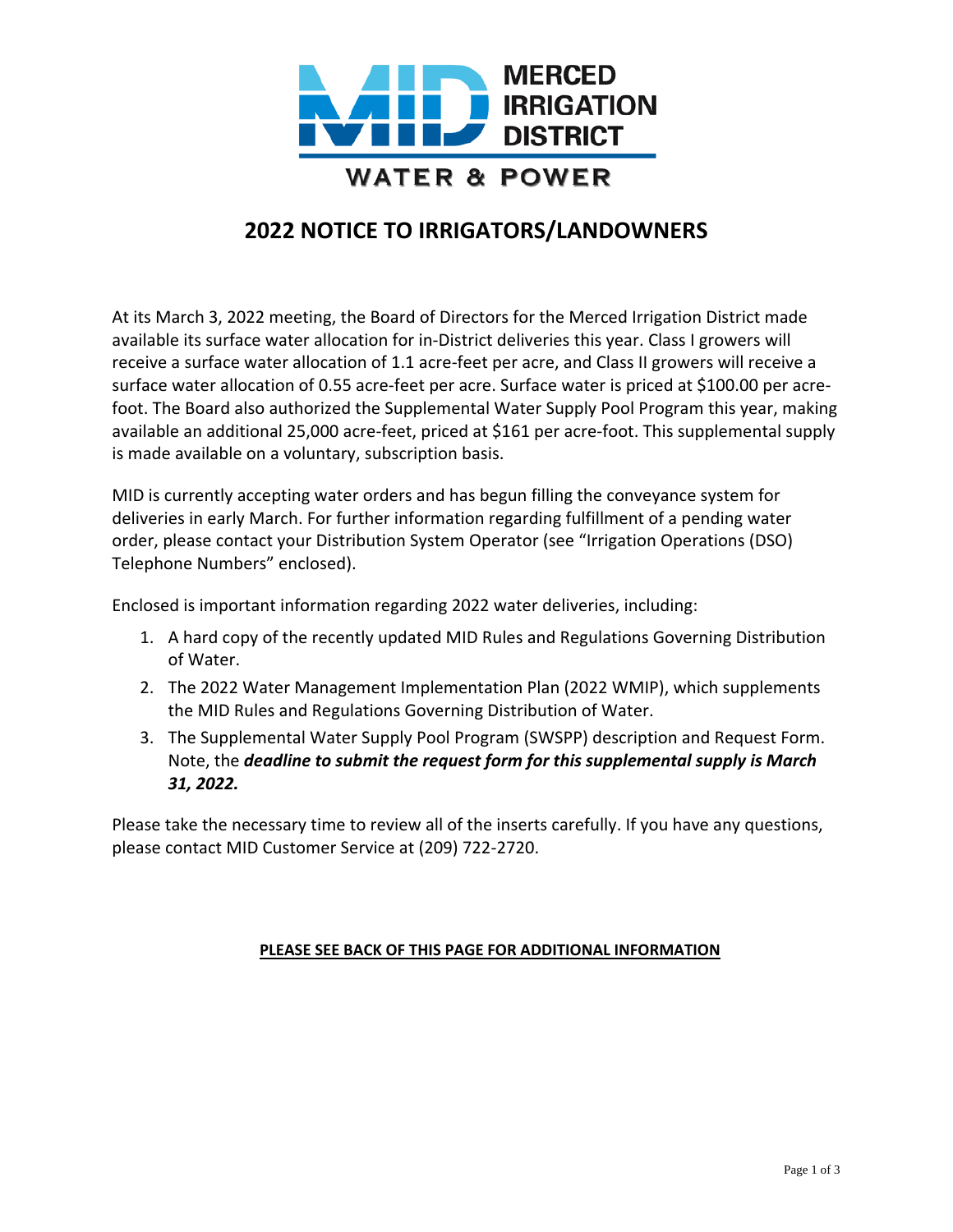

# **2022 NOTICE TO IRRIGATORS/LANDOWNERS**

At its March 3, 2022 meeting, the Board of Directors for the Merced Irrigation District made available its surface water allocation for in-District deliveries this year. Class I growers will receive a surface water allocation of 1.1 acre-feet per acre, and Class II growers will receive a surface water allocation of 0.55 acre-feet per acre. Surface water is priced at \$100.00 per acrefoot. The Board also authorized the Supplemental Water Supply Pool Program this year, making available an additional 25,000 acre-feet, priced at \$161 per acre-foot. This supplemental supply is made available on a voluntary, subscription basis.

MID is currently accepting water orders and has begun filling the conveyance system for deliveries in early March. For further information regarding fulfillment of a pending water order, please contact your Distribution System Operator (see "Irrigation Operations (DSO) Telephone Numbers" enclosed).

Enclosed is important information regarding 2022 water deliveries, including:

- 1. A hard copy of the recently updated MID Rules and Regulations Governing Distribution of Water.
- 2. The 2022 Water Management Implementation Plan (2022 WMIP), which supplements the MID Rules and Regulations Governing Distribution of Water.
- 3. The Supplemental Water Supply Pool Program (SWSPP) description and Request Form. Note, the *deadline to submit the request form for this supplemental supply is March 31, 2022.*

Please take the necessary time to review all of the inserts carefully. If you have any questions, please contact MID Customer Service at (209) 722-2720.

## **PLEASE SEE BACK OF THIS PAGE FOR ADDITIONAL INFORMATION**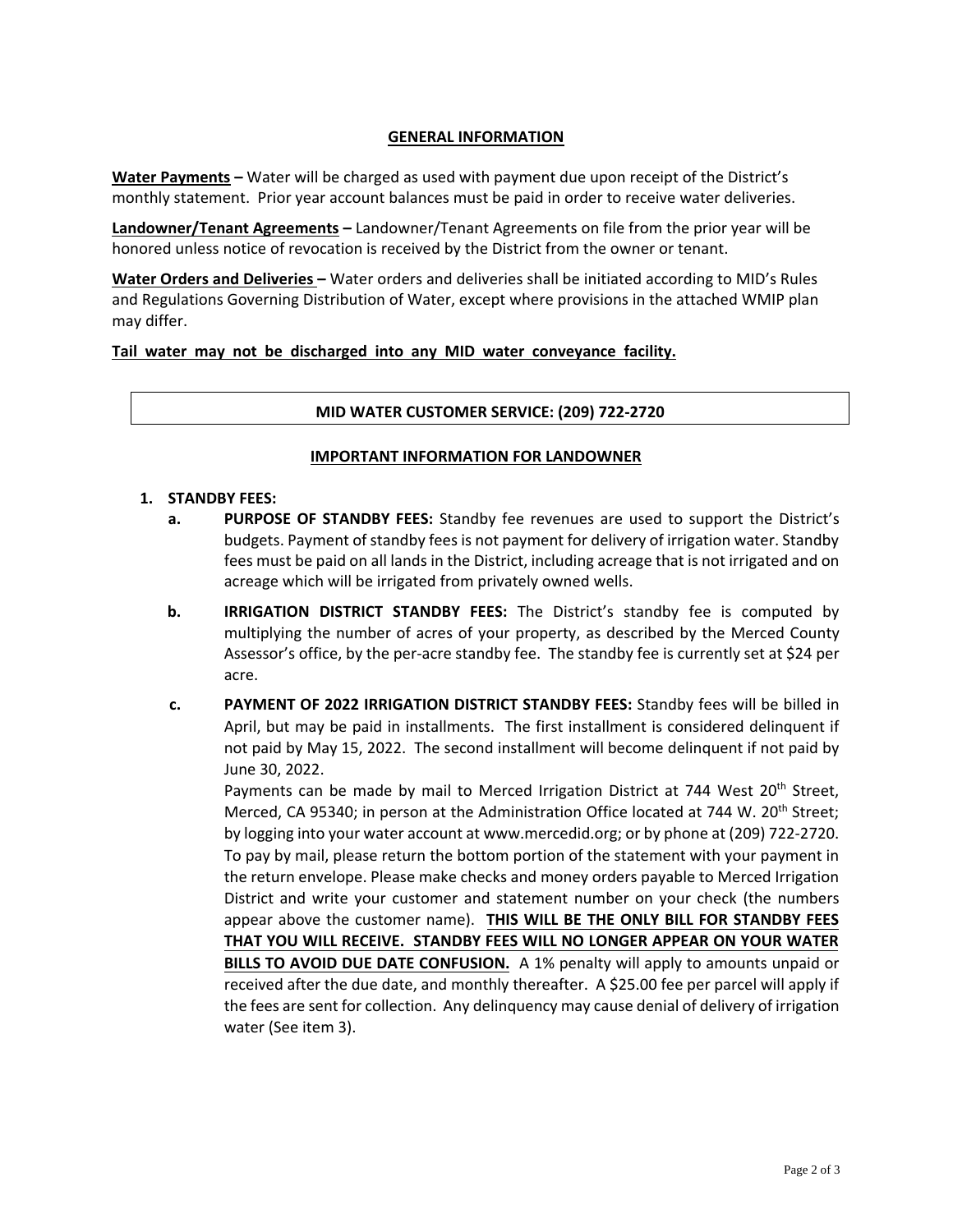### **GENERAL INFORMATION**

**Water Payments –** Water will be charged as used with payment due upon receipt of the District's monthly statement. Prior year account balances must be paid in order to receive water deliveries.

**Landowner/Tenant Agreements –** Landowner/Tenant Agreements on file from the prior year will be honored unless notice of revocation is received by the District from the owner or tenant.

**Water Orders and Deliveries –** Water orders and deliveries shall be initiated according to MID's Rules and Regulations Governing Distribution of Water, except where provisions in the attached WMIP plan may differ.

### **Tail water may not be discharged into any MID water conveyance facility.**

### **MID WATER CUSTOMER SERVICE: (209) 722-2720**

### **IMPORTANT INFORMATION FOR LANDOWNER**

#### **1. STANDBY FEES:**

- **a. PURPOSE OF STANDBY FEES:** Standby fee revenues are used to support the District's budgets. Payment of standby fees is not payment for delivery of irrigation water. Standby fees must be paid on all lands in the District, including acreage that is not irrigated and on acreage which will be irrigated from privately owned wells.
- **b. IRRIGATION DISTRICT STANDBY FEES:** The District's standby fee is computed by multiplying the number of acres of your property, as described by the Merced County Assessor's office, by the per-acre standby fee. The standby fee is currently set at \$24 per acre.
- **c. PAYMENT OF 2022 IRRIGATION DISTRICT STANDBY FEES:** Standby fees will be billed in April, but may be paid in installments. The first installment is considered delinquent if not paid by May 15, 2022. The second installment will become delinquent if not paid by June 30, 2022.

Payments can be made by mail to Merced Irrigation District at 744 West 20<sup>th</sup> Street, Merced, CA 95340; in person at the Administration Office located at 744 W. 20<sup>th</sup> Street; by logging into your water account at www.mercedid.org; or by phone at (209) 722-2720. To pay by mail, please return the bottom portion of the statement with your payment in the return envelope. Please make checks and money orders payable to Merced Irrigation District and write your customer and statement number on your check (the numbers appear above the customer name). **THIS WILL BE THE ONLY BILL FOR STANDBY FEES THAT YOU WILL RECEIVE. STANDBY FEES WILL NO LONGER APPEAR ON YOUR WATER BILLS TO AVOID DUE DATE CONFUSION.** A 1% penalty will apply to amounts unpaid or received after the due date, and monthly thereafter. A \$25.00 fee per parcel will apply if the fees are sent for collection. Any delinquency may cause denial of delivery of irrigation water (See item 3).